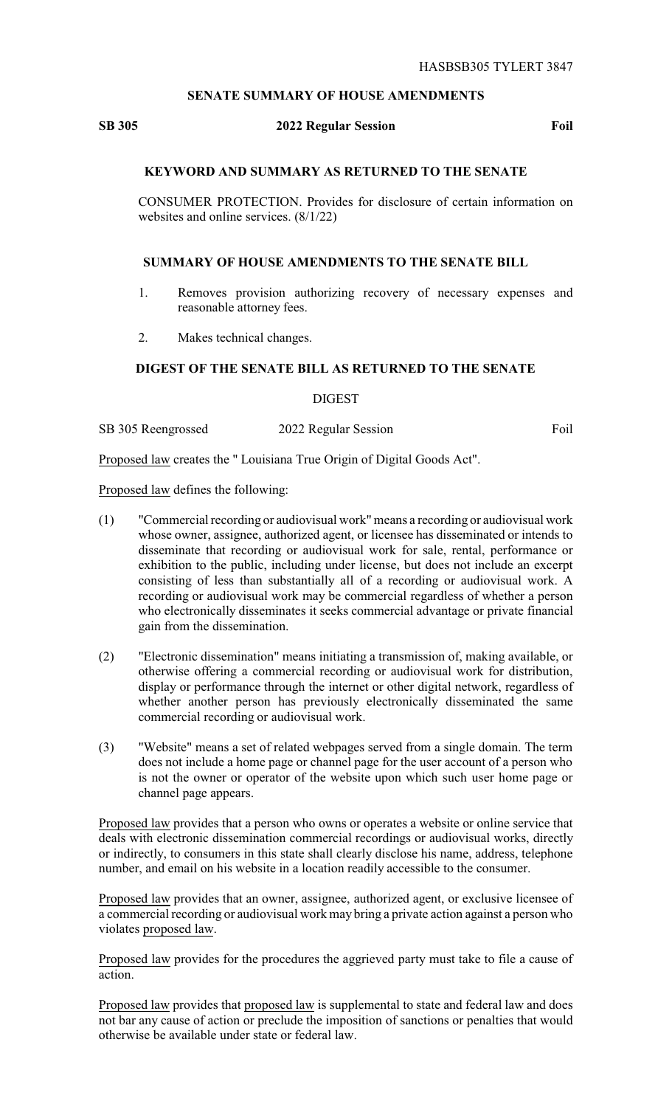## **SENATE SUMMARY OF HOUSE AMENDMENTS**

## **SB 305 2022 Regular Session Foil**

# **KEYWORD AND SUMMARY AS RETURNED TO THE SENATE**

CONSUMER PROTECTION. Provides for disclosure of certain information on websites and online services. (8/1/22)

#### **SUMMARY OF HOUSE AMENDMENTS TO THE SENATE BILL**

- 1. Removes provision authorizing recovery of necessary expenses and reasonable attorney fees.
- 2. Makes technical changes.

# **DIGEST OF THE SENATE BILL AS RETURNED TO THE SENATE**

DIGEST

SB 305 Reengrossed 2022 Regular Session Foil

Proposed law creates the " Louisiana True Origin of Digital Goods Act".

Proposed law defines the following:

- (1) "Commercial recording or audiovisual work" means a recording or audiovisual work whose owner, assignee, authorized agent, or licensee has disseminated or intends to disseminate that recording or audiovisual work for sale, rental, performance or exhibition to the public, including under license, but does not include an excerpt consisting of less than substantially all of a recording or audiovisual work. A recording or audiovisual work may be commercial regardless of whether a person who electronically disseminates it seeks commercial advantage or private financial gain from the dissemination.
- (2) "Electronic dissemination" means initiating a transmission of, making available, or otherwise offering a commercial recording or audiovisual work for distribution, display or performance through the internet or other digital network, regardless of whether another person has previously electronically disseminated the same commercial recording or audiovisual work.
- (3) "Website" means a set of related webpages served from a single domain. The term does not include a home page or channel page for the user account of a person who is not the owner or operator of the website upon which such user home page or channel page appears.

Proposed law provides that a person who owns or operates a website or online service that deals with electronic dissemination commercial recordings or audiovisual works, directly or indirectly, to consumers in this state shall clearly disclose his name, address, telephone number, and email on his website in a location readily accessible to the consumer.

Proposed law provides that an owner, assignee, authorized agent, or exclusive licensee of a commercial recording or audiovisual work may bring a private action against a person who violates proposed law.

Proposed law provides for the procedures the aggrieved party must take to file a cause of action.

Proposed law provides that proposed law is supplemental to state and federal law and does not bar any cause of action or preclude the imposition of sanctions or penalties that would otherwise be available under state or federal law.